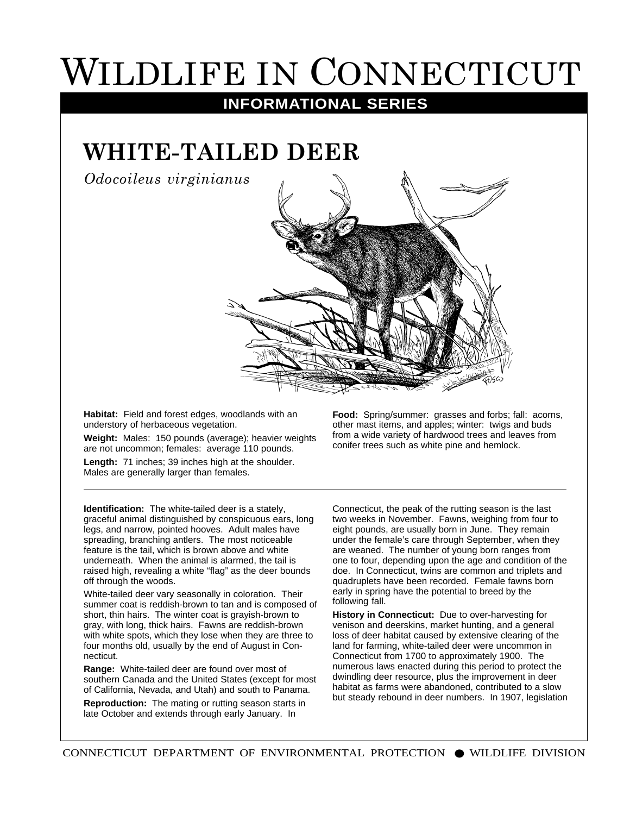## WILDLIFE IN CONNECTICUT

**INFORMATIONAL SERIES**

## **WHITE-TAILED DEER**

*Odocoileus virginianus*



**Habitat:** Field and forest edges, woodlands with an understory of herbaceous vegetation.

**Weight:** Males: 150 pounds (average); heavier weights are not uncommon; females: average 110 pounds.

**Length:** 71 inches; 39 inches high at the shoulder. Males are generally larger than females.

**Identification:** The white-tailed deer is a stately, graceful animal distinguished by conspicuous ears, long legs, and narrow, pointed hooves. Adult males have spreading, branching antlers. The most noticeable feature is the tail, which is brown above and white underneath. When the animal is alarmed, the tail is raised high, revealing a white "flag" as the deer bounds off through the woods.

White-tailed deer vary seasonally in coloration. Their summer coat is reddish-brown to tan and is composed of short, thin hairs. The winter coat is grayish-brown to gray, with long, thick hairs. Fawns are reddish-brown with white spots, which they lose when they are three to four months old, usually by the end of August in Connecticut.

**Range:** White-tailed deer are found over most of southern Canada and the United States (except for most of California, Nevada, and Utah) and south to Panama.

**Reproduction:** The mating or rutting season starts in late October and extends through early January. In

**Food:** Spring/summer: grasses and forbs; fall: acorns, other mast items, and apples; winter: twigs and buds from a wide variety of hardwood trees and leaves from conifer trees such as white pine and hemlock.

Connecticut, the peak of the rutting season is the last two weeks in November. Fawns, weighing from four to eight pounds, are usually born in June. They remain under the female's care through September, when they are weaned. The number of young born ranges from one to four, depending upon the age and condition of the doe. In Connecticut, twins are common and triplets and quadruplets have been recorded. Female fawns born early in spring have the potential to breed by the following fall.

**History in Connecticut:** Due to over-harvesting for venison and deerskins, market hunting, and a general loss of deer habitat caused by extensive clearing of the land for farming, white-tailed deer were uncommon in Connecticut from 1700 to approximately 1900. The numerous laws enacted during this period to protect the dwindling deer resource, plus the improvement in deer habitat as farms were abandoned, contributed to a slow but steady rebound in deer numbers. In 1907, legislation